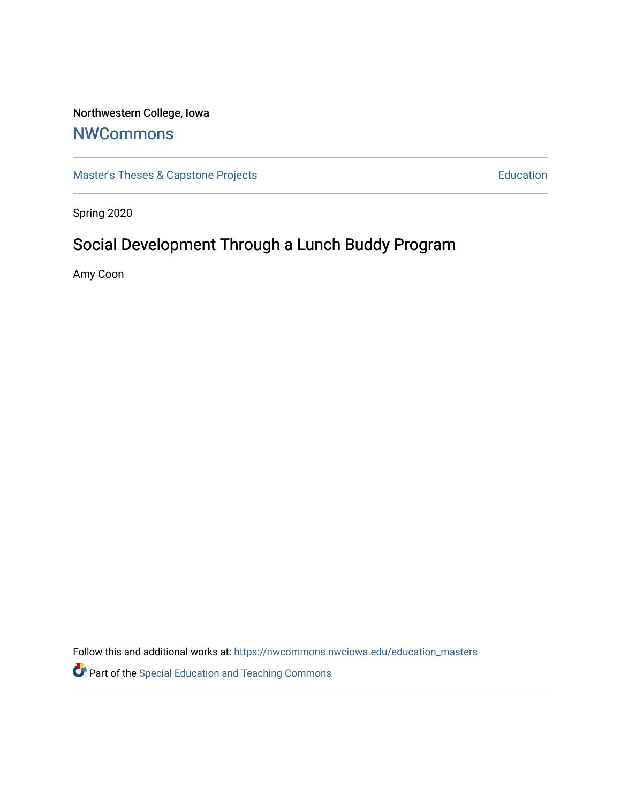# Northwestern College, Iowa

# **[NWCommons](https://nwcommons.nwciowa.edu/)**

[Master's Theses & Capstone Projects](https://nwcommons.nwciowa.edu/education_masters) **Education** Education

Spring 2020

# Social Development Through a Lunch Buddy Program

Amy Coon

Follow this and additional works at: [https://nwcommons.nwciowa.edu/education\\_masters](https://nwcommons.nwciowa.edu/education_masters?utm_source=nwcommons.nwciowa.edu%2Feducation_masters%2F193&utm_medium=PDF&utm_campaign=PDFCoverPages)

Part of the [Special Education and Teaching Commons](http://network.bepress.com/hgg/discipline/801?utm_source=nwcommons.nwciowa.edu%2Feducation_masters%2F193&utm_medium=PDF&utm_campaign=PDFCoverPages)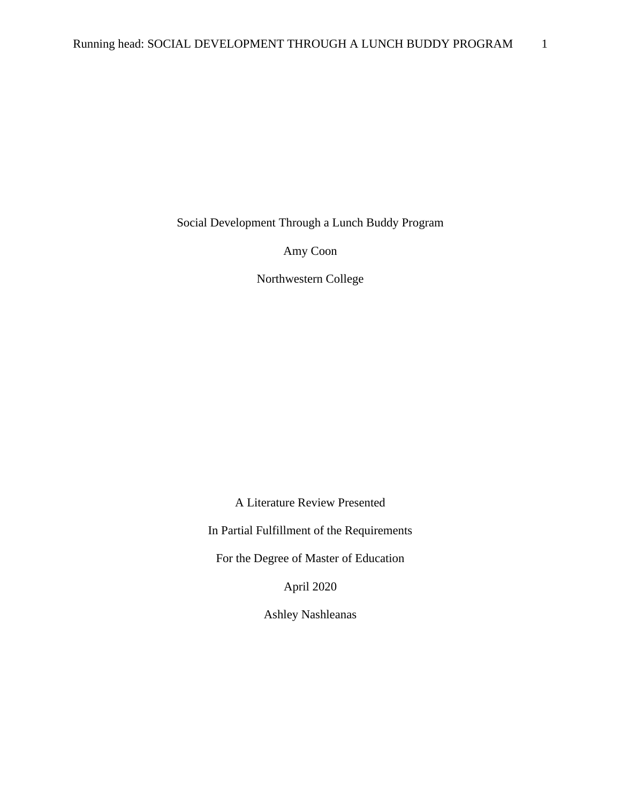Social Development Through a Lunch Buddy Program

Amy Coon

Northwestern College

A Literature Review Presented

In Partial Fulfillment of the Requirements

For the Degree of Master of Education

April 2020

Ashley Nashleanas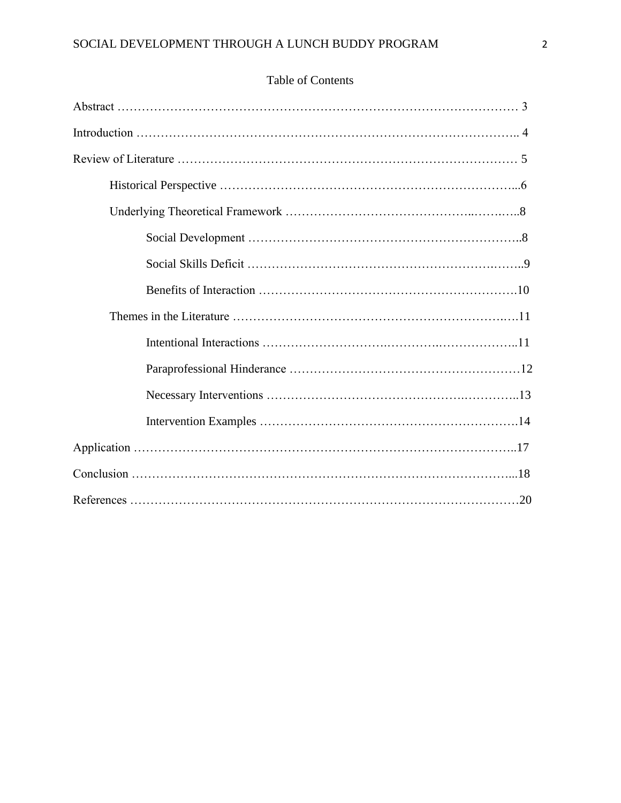# Table of Contents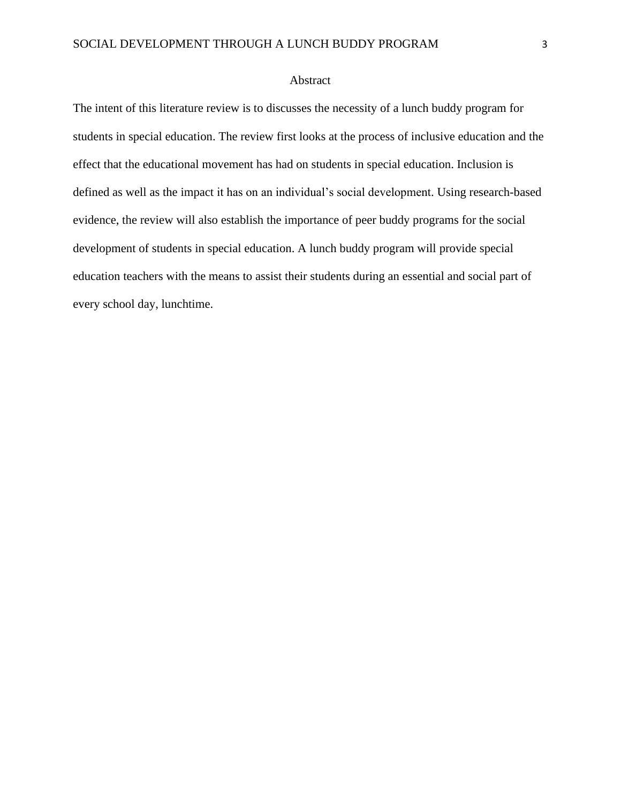## Abstract

The intent of this literature review is to discusses the necessity of a lunch buddy program for students in special education. The review first looks at the process of inclusive education and the effect that the educational movement has had on students in special education. Inclusion is defined as well as the impact it has on an individual's social development. Using research-based evidence, the review will also establish the importance of peer buddy programs for the social development of students in special education. A lunch buddy program will provide special education teachers with the means to assist their students during an essential and social part of every school day, lunchtime.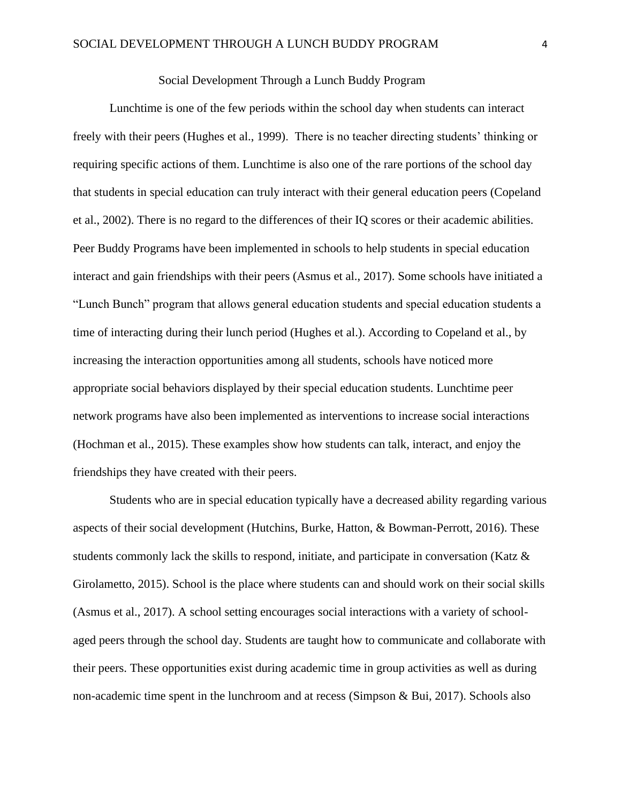## Social Development Through a Lunch Buddy Program

Lunchtime is one of the few periods within the school day when students can interact freely with their peers (Hughes et al., 1999). There is no teacher directing students' thinking or requiring specific actions of them. Lunchtime is also one of the rare portions of the school day that students in special education can truly interact with their general education peers (Copeland et al., 2002). There is no regard to the differences of their IQ scores or their academic abilities. Peer Buddy Programs have been implemented in schools to help students in special education interact and gain friendships with their peers (Asmus et al., 2017). Some schools have initiated a "Lunch Bunch" program that allows general education students and special education students a time of interacting during their lunch period (Hughes et al.). According to Copeland et al., by increasing the interaction opportunities among all students, schools have noticed more appropriate social behaviors displayed by their special education students. Lunchtime peer network programs have also been implemented as interventions to increase social interactions (Hochman et al., 2015). These examples show how students can talk, interact, and enjoy the friendships they have created with their peers.

Students who are in special education typically have a decreased ability regarding various aspects of their social development (Hutchins, Burke, Hatton, & Bowman-Perrott, 2016). These students commonly lack the skills to respond, initiate, and participate in conversation (Katz  $\&$ Girolametto, 2015). School is the place where students can and should work on their social skills (Asmus et al., 2017). A school setting encourages social interactions with a variety of schoolaged peers through the school day. Students are taught how to communicate and collaborate with their peers. These opportunities exist during academic time in group activities as well as during non-academic time spent in the lunchroom and at recess (Simpson & Bui, 2017). Schools also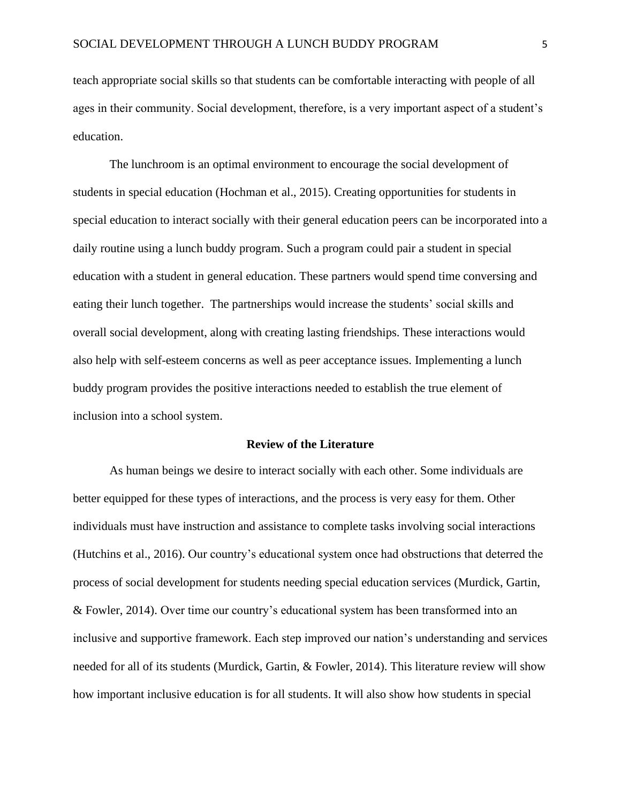teach appropriate social skills so that students can be comfortable interacting with people of all ages in their community. Social development, therefore, is a very important aspect of a student's education.

The lunchroom is an optimal environment to encourage the social development of students in special education (Hochman et al., 2015). Creating opportunities for students in special education to interact socially with their general education peers can be incorporated into a daily routine using a lunch buddy program. Such a program could pair a student in special education with a student in general education. These partners would spend time conversing and eating their lunch together. The partnerships would increase the students' social skills and overall social development, along with creating lasting friendships. These interactions would also help with self-esteem concerns as well as peer acceptance issues. Implementing a lunch buddy program provides the positive interactions needed to establish the true element of inclusion into a school system.

#### **Review of the Literature**

As human beings we desire to interact socially with each other. Some individuals are better equipped for these types of interactions, and the process is very easy for them. Other individuals must have instruction and assistance to complete tasks involving social interactions (Hutchins et al., 2016). Our country's educational system once had obstructions that deterred the process of social development for students needing special education services (Murdick, Gartin, & Fowler, 2014). Over time our country's educational system has been transformed into an inclusive and supportive framework. Each step improved our nation's understanding and services needed for all of its students (Murdick, Gartin, & Fowler, 2014). This literature review will show how important inclusive education is for all students. It will also show how students in special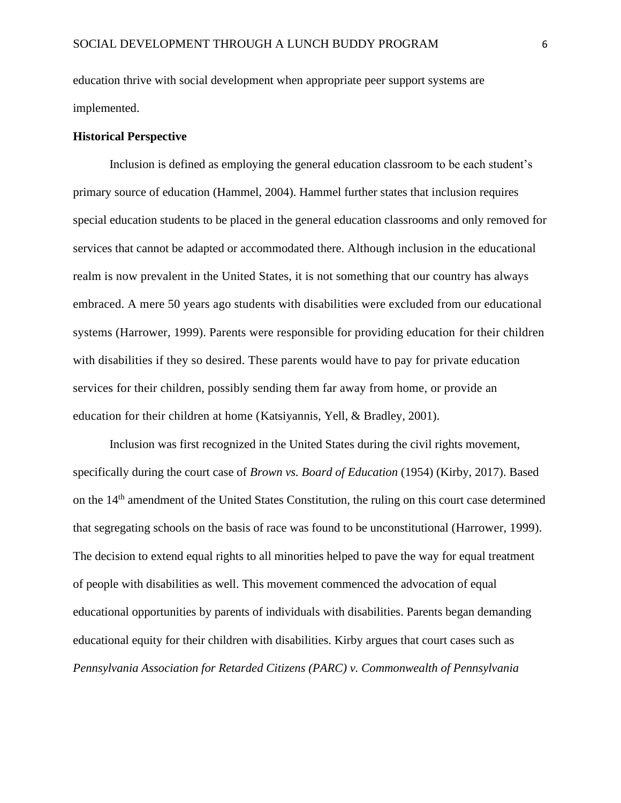education thrive with social development when appropriate peer support systems are implemented.

### **Historical Perspective**

Inclusion is defined as employing the general education classroom to be each student's primary source of education (Hammel, 2004). Hammel further states that inclusion requires special education students to be placed in the general education classrooms and only removed for services that cannot be adapted or accommodated there. Although inclusion in the educational realm is now prevalent in the United States, it is not something that our country has always embraced. A mere 50 years ago students with disabilities were excluded from our educational systems (Harrower, 1999). Parents were responsible for providing education for their children with disabilities if they so desired. These parents would have to pay for private education services for their children, possibly sending them far away from home, or provide an education for their children at home (Katsiyannis, Yell, & Bradley, 2001).

Inclusion was first recognized in the United States during the civil rights movement, specifically during the court case of *Brown vs. Board of Education* (1954) (Kirby, 2017). Based on the 14th amendment of the United States Constitution, the ruling on this court case determined that segregating schools on the basis of race was found to be unconstitutional (Harrower, 1999). The decision to extend equal rights to all minorities helped to pave the way for equal treatment of people with disabilities as well. This movement commenced the advocation of equal educational opportunities by parents of individuals with disabilities. Parents began demanding educational equity for their children with disabilities. Kirby argues that court cases such as *Pennsylvania Association for Retarded Citizens (PARC) v. Commonwealth of Pennsylvania*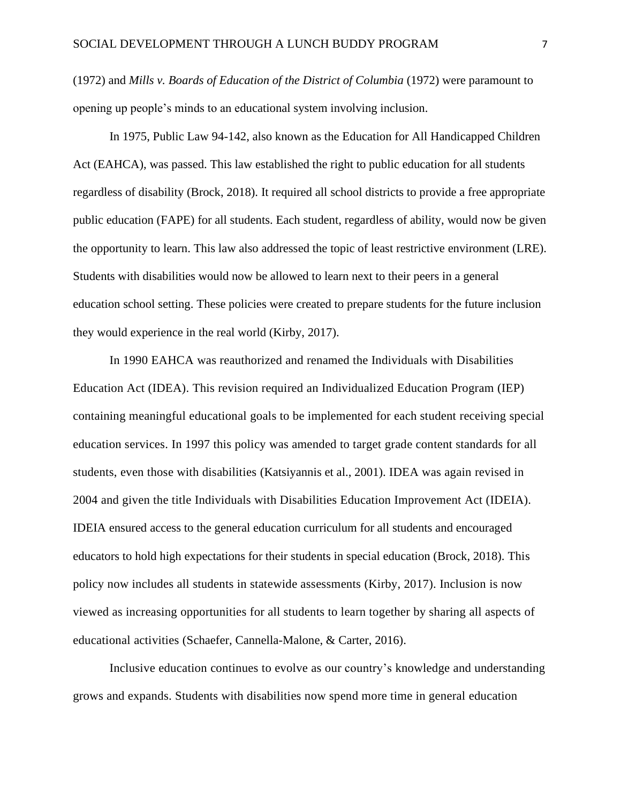(1972) and *Mills v. Boards of Education of the District of Columbia* (1972) were paramount to opening up people's minds to an educational system involving inclusion.

In 1975, Public Law 94-142, also known as the Education for All Handicapped Children Act (EAHCA), was passed. This law established the right to public education for all students regardless of disability (Brock, 2018). It required all school districts to provide a free appropriate public education (FAPE) for all students. Each student, regardless of ability, would now be given the opportunity to learn. This law also addressed the topic of least restrictive environment (LRE). Students with disabilities would now be allowed to learn next to their peers in a general education school setting. These policies were created to prepare students for the future inclusion they would experience in the real world (Kirby, 2017).

In 1990 EAHCA was reauthorized and renamed the Individuals with Disabilities Education Act (IDEA). This revision required an Individualized Education Program (IEP) containing meaningful educational goals to be implemented for each student receiving special education services. In 1997 this policy was amended to target grade content standards for all students, even those with disabilities (Katsiyannis et al., 2001). IDEA was again revised in 2004 and given the title Individuals with Disabilities Education Improvement Act (IDEIA). IDEIA ensured access to the general education curriculum for all students and encouraged educators to hold high expectations for their students in special education (Brock, 2018). This policy now includes all students in statewide assessments (Kirby, 2017). Inclusion is now viewed as increasing opportunities for all students to learn together by sharing all aspects of educational activities (Schaefer, Cannella-Malone, & Carter, 2016).

Inclusive education continues to evolve as our country's knowledge and understanding grows and expands. Students with disabilities now spend more time in general education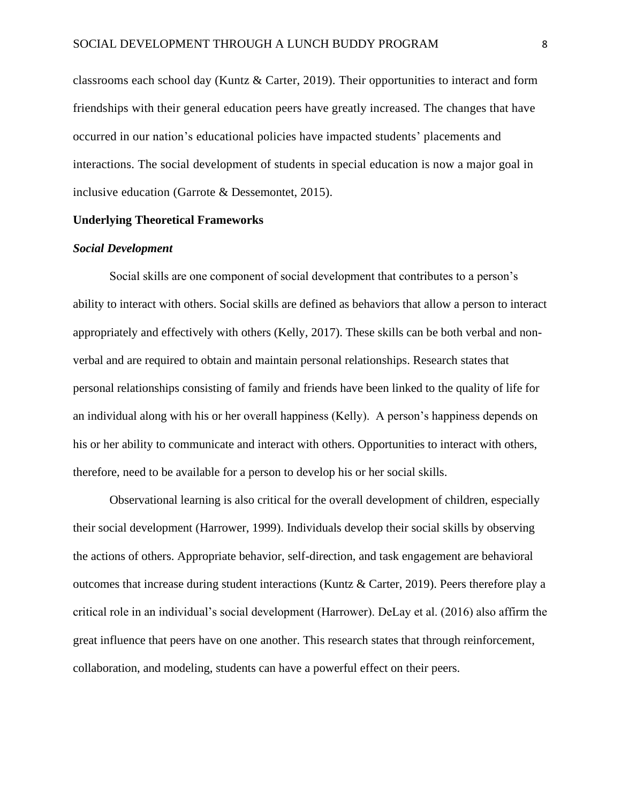classrooms each school day (Kuntz & Carter, 2019). Their opportunities to interact and form friendships with their general education peers have greatly increased. The changes that have occurred in our nation's educational policies have impacted students' placements and interactions. The social development of students in special education is now a major goal in inclusive education (Garrote & Dessemontet, 2015).

## **Underlying Theoretical Frameworks**

#### *Social Development*

Social skills are one component of social development that contributes to a person's ability to interact with others. Social skills are defined as behaviors that allow a person to interact appropriately and effectively with others (Kelly, 2017). These skills can be both verbal and nonverbal and are required to obtain and maintain personal relationships. Research states that personal relationships consisting of family and friends have been linked to the quality of life for an individual along with his or her overall happiness (Kelly). A person's happiness depends on his or her ability to communicate and interact with others. Opportunities to interact with others, therefore, need to be available for a person to develop his or her social skills.

Observational learning is also critical for the overall development of children, especially their social development (Harrower, 1999). Individuals develop their social skills by observing the actions of others. Appropriate behavior, self-direction, and task engagement are behavioral outcomes that increase during student interactions (Kuntz & Carter, 2019). Peers therefore play a critical role in an individual's social development (Harrower). DeLay et al. (2016) also affirm the great influence that peers have on one another. This research states that through reinforcement, collaboration, and modeling, students can have a powerful effect on their peers.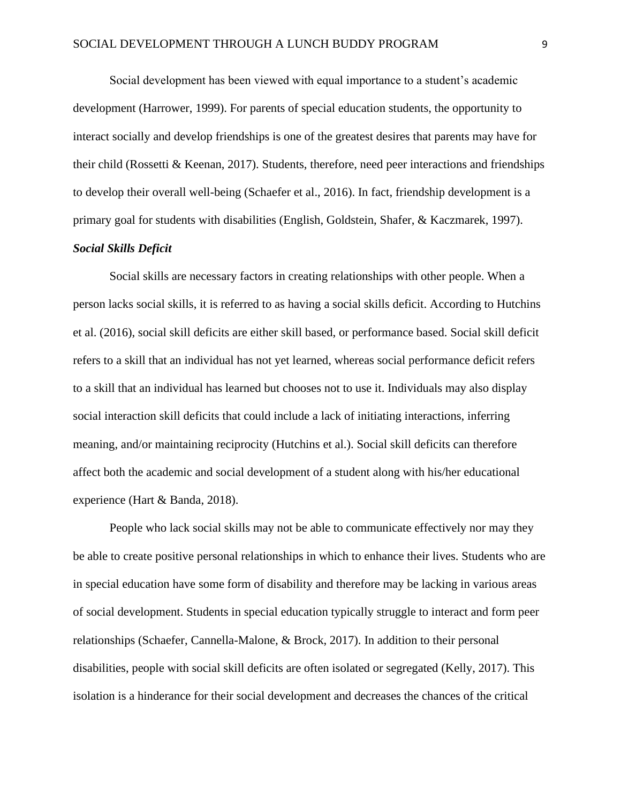Social development has been viewed with equal importance to a student's academic development (Harrower, 1999). For parents of special education students, the opportunity to interact socially and develop friendships is one of the greatest desires that parents may have for their child (Rossetti & Keenan, 2017). Students, therefore, need peer interactions and friendships to develop their overall well-being (Schaefer et al., 2016). In fact, friendship development is a primary goal for students with disabilities (English, Goldstein, Shafer, & Kaczmarek, 1997).

## *Social Skills Deficit*

Social skills are necessary factors in creating relationships with other people. When a person lacks social skills, it is referred to as having a social skills deficit. According to Hutchins et al. (2016), social skill deficits are either skill based, or performance based. Social skill deficit refers to a skill that an individual has not yet learned, whereas social performance deficit refers to a skill that an individual has learned but chooses not to use it. Individuals may also display social interaction skill deficits that could include a lack of initiating interactions, inferring meaning, and/or maintaining reciprocity (Hutchins et al.). Social skill deficits can therefore affect both the academic and social development of a student along with his/her educational experience (Hart & Banda, 2018).

People who lack social skills may not be able to communicate effectively nor may they be able to create positive personal relationships in which to enhance their lives. Students who are in special education have some form of disability and therefore may be lacking in various areas of social development. Students in special education typically struggle to interact and form peer relationships (Schaefer, Cannella-Malone, & Brock, 2017). In addition to their personal disabilities, people with social skill deficits are often isolated or segregated (Kelly, 2017). This isolation is a hinderance for their social development and decreases the chances of the critical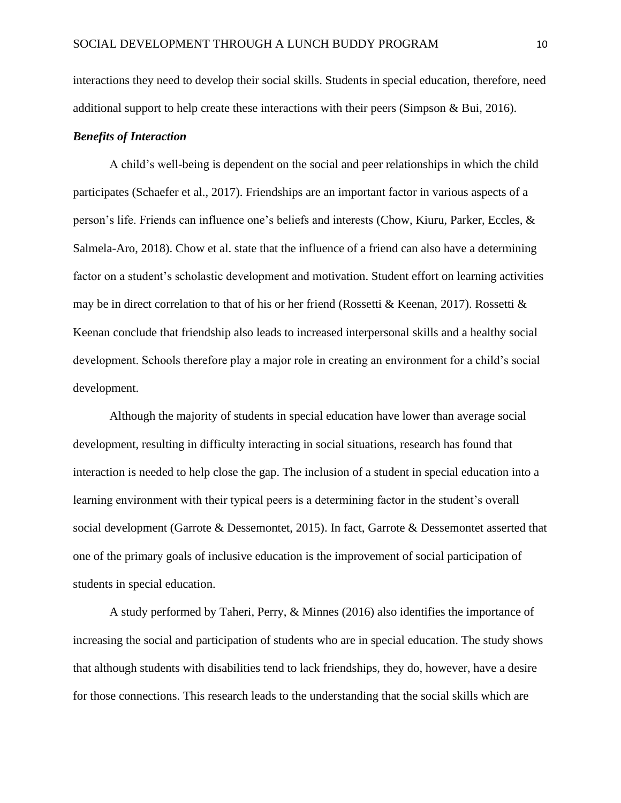interactions they need to develop their social skills. Students in special education, therefore, need additional support to help create these interactions with their peers (Simpson & Bui, 2016).

## *Benefits of Interaction*

A child's well-being is dependent on the social and peer relationships in which the child participates (Schaefer et al., 2017). Friendships are an important factor in various aspects of a person's life. Friends can influence one's beliefs and interests (Chow, Kiuru, Parker, Eccles, & Salmela-Aro, 2018). Chow et al. state that the influence of a friend can also have a determining factor on a student's scholastic development and motivation. Student effort on learning activities may be in direct correlation to that of his or her friend (Rossetti & Keenan, 2017). Rossetti & Keenan conclude that friendship also leads to increased interpersonal skills and a healthy social development. Schools therefore play a major role in creating an environment for a child's social development.

Although the majority of students in special education have lower than average social development, resulting in difficulty interacting in social situations, research has found that interaction is needed to help close the gap. The inclusion of a student in special education into a learning environment with their typical peers is a determining factor in the student's overall social development (Garrote & Dessemontet, 2015). In fact, Garrote & Dessemontet asserted that one of the primary goals of inclusive education is the improvement of social participation of students in special education.

A study performed by Taheri, Perry, & Minnes (2016) also identifies the importance of increasing the social and participation of students who are in special education. The study shows that although students with disabilities tend to lack friendships, they do, however, have a desire for those connections. This research leads to the understanding that the social skills which are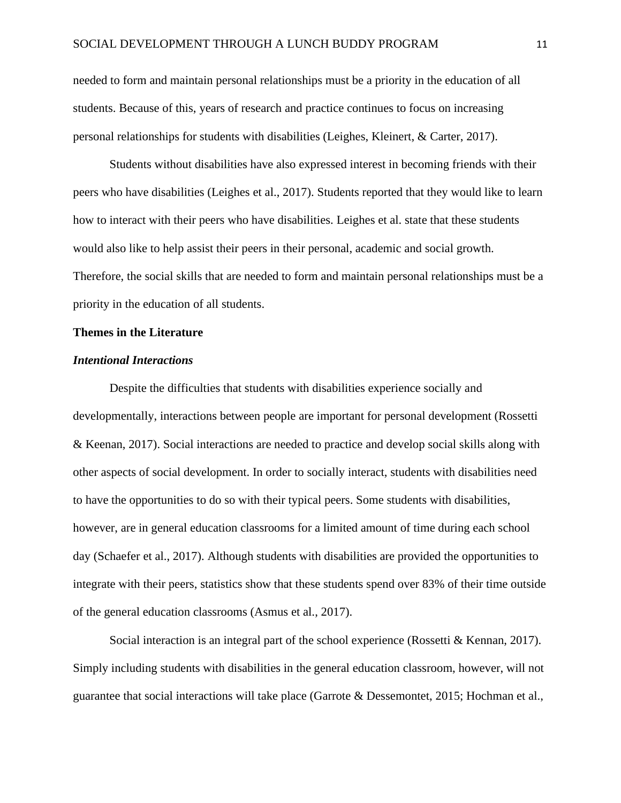needed to form and maintain personal relationships must be a priority in the education of all students. Because of this, years of research and practice continues to focus on increasing personal relationships for students with disabilities (Leighes, Kleinert, & Carter, 2017).

Students without disabilities have also expressed interest in becoming friends with their peers who have disabilities (Leighes et al., 2017). Students reported that they would like to learn how to interact with their peers who have disabilities. Leighes et al. state that these students would also like to help assist their peers in their personal, academic and social growth. Therefore, the social skills that are needed to form and maintain personal relationships must be a priority in the education of all students.

#### **Themes in the Literature**

#### *Intentional Interactions*

Despite the difficulties that students with disabilities experience socially and developmentally, interactions between people are important for personal development (Rossetti & Keenan, 2017). Social interactions are needed to practice and develop social skills along with other aspects of social development. In order to socially interact, students with disabilities need to have the opportunities to do so with their typical peers. Some students with disabilities, however, are in general education classrooms for a limited amount of time during each school day (Schaefer et al., 2017). Although students with disabilities are provided the opportunities to integrate with their peers, statistics show that these students spend over 83% of their time outside of the general education classrooms (Asmus et al., 2017).

Social interaction is an integral part of the school experience (Rossetti & Kennan, 2017). Simply including students with disabilities in the general education classroom, however, will not guarantee that social interactions will take place (Garrote & Dessemontet, 2015; Hochman et al.,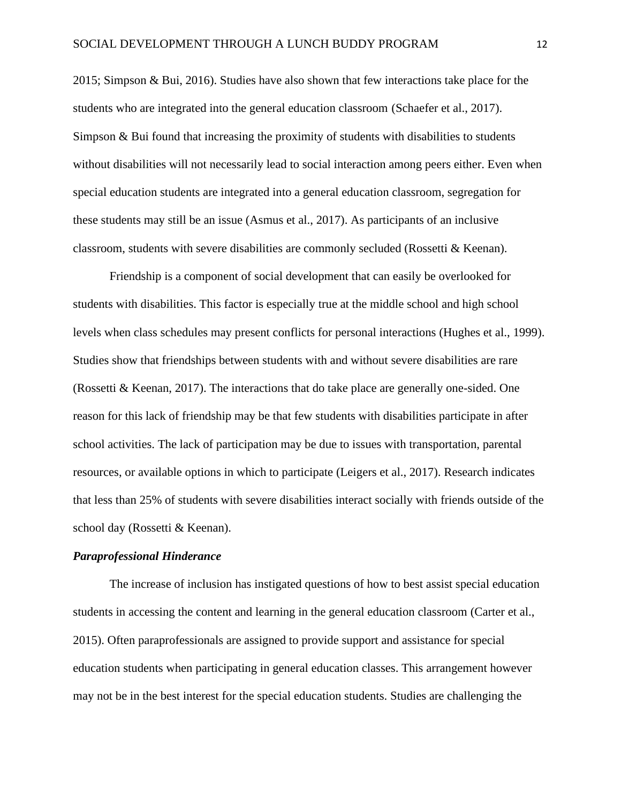2015; Simpson & Bui, 2016). Studies have also shown that few interactions take place for the students who are integrated into the general education classroom (Schaefer et al., 2017). Simpson & Bui found that increasing the proximity of students with disabilities to students without disabilities will not necessarily lead to social interaction among peers either. Even when special education students are integrated into a general education classroom, segregation for these students may still be an issue (Asmus et al., 2017). As participants of an inclusive classroom, students with severe disabilities are commonly secluded (Rossetti & Keenan).

Friendship is a component of social development that can easily be overlooked for students with disabilities. This factor is especially true at the middle school and high school levels when class schedules may present conflicts for personal interactions (Hughes et al., 1999). Studies show that friendships between students with and without severe disabilities are rare (Rossetti & Keenan, 2017). The interactions that do take place are generally one-sided. One reason for this lack of friendship may be that few students with disabilities participate in after school activities. The lack of participation may be due to issues with transportation, parental resources, or available options in which to participate (Leigers et al., 2017). Research indicates that less than 25% of students with severe disabilities interact socially with friends outside of the school day (Rossetti & Keenan).

### *Paraprofessional Hinderance*

The increase of inclusion has instigated questions of how to best assist special education students in accessing the content and learning in the general education classroom (Carter et al., 2015). Often paraprofessionals are assigned to provide support and assistance for special education students when participating in general education classes. This arrangement however may not be in the best interest for the special education students. Studies are challenging the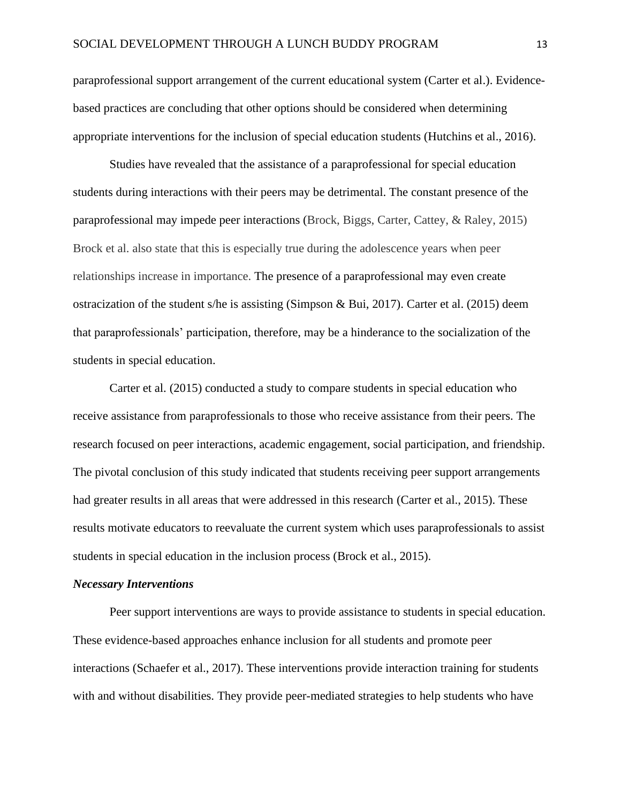paraprofessional support arrangement of the current educational system (Carter et al.). Evidencebased practices are concluding that other options should be considered when determining appropriate interventions for the inclusion of special education students (Hutchins et al., 2016).

Studies have revealed that the assistance of a paraprofessional for special education students during interactions with their peers may be detrimental. The constant presence of the paraprofessional may impede peer interactions (Brock, Biggs, Carter, Cattey, & Raley, 2015) Brock et al. also state that this is especially true during the adolescence years when peer relationships increase in importance. The presence of a paraprofessional may even create ostracization of the student s/he is assisting (Simpson & Bui, 2017). Carter et al. (2015) deem that paraprofessionals' participation, therefore, may be a hinderance to the socialization of the students in special education.

Carter et al. (2015) conducted a study to compare students in special education who receive assistance from paraprofessionals to those who receive assistance from their peers. The research focused on peer interactions, academic engagement, social participation, and friendship. The pivotal conclusion of this study indicated that students receiving peer support arrangements had greater results in all areas that were addressed in this research (Carter et al., 2015). These results motivate educators to reevaluate the current system which uses paraprofessionals to assist students in special education in the inclusion process (Brock et al., 2015).

#### *Necessary Interventions*

Peer support interventions are ways to provide assistance to students in special education. These evidence-based approaches enhance inclusion for all students and promote peer interactions (Schaefer et al., 2017). These interventions provide interaction training for students with and without disabilities. They provide peer-mediated strategies to help students who have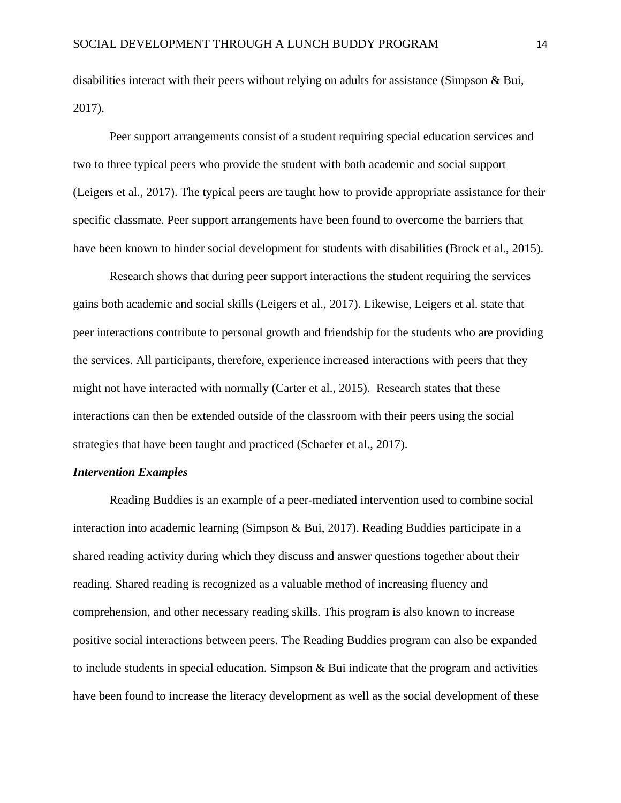disabilities interact with their peers without relying on adults for assistance (Simpson & Bui, 2017).

Peer support arrangements consist of a student requiring special education services and two to three typical peers who provide the student with both academic and social support (Leigers et al., 2017). The typical peers are taught how to provide appropriate assistance for their specific classmate. Peer support arrangements have been found to overcome the barriers that have been known to hinder social development for students with disabilities (Brock et al., 2015).

Research shows that during peer support interactions the student requiring the services gains both academic and social skills (Leigers et al., 2017). Likewise, Leigers et al. state that peer interactions contribute to personal growth and friendship for the students who are providing the services. All participants, therefore, experience increased interactions with peers that they might not have interacted with normally (Carter et al., 2015). Research states that these interactions can then be extended outside of the classroom with their peers using the social strategies that have been taught and practiced (Schaefer et al., 2017).

#### *Intervention Examples*

Reading Buddies is an example of a peer-mediated intervention used to combine social interaction into academic learning (Simpson & Bui, 2017). Reading Buddies participate in a shared reading activity during which they discuss and answer questions together about their reading. Shared reading is recognized as a valuable method of increasing fluency and comprehension, and other necessary reading skills. This program is also known to increase positive social interactions between peers. The Reading Buddies program can also be expanded to include students in special education. Simpson & Bui indicate that the program and activities have been found to increase the literacy development as well as the social development of these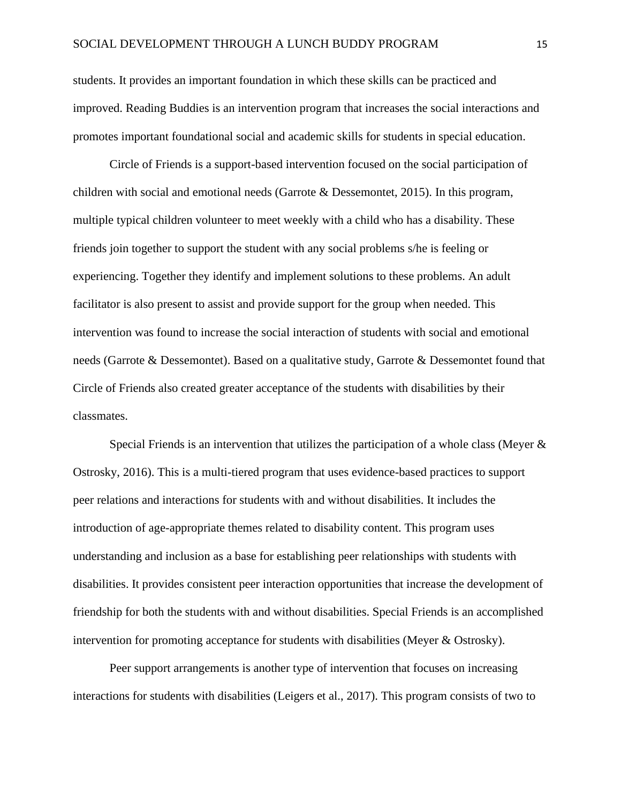students. It provides an important foundation in which these skills can be practiced and improved. Reading Buddies is an intervention program that increases the social interactions and promotes important foundational social and academic skills for students in special education.

Circle of Friends is a support-based intervention focused on the social participation of children with social and emotional needs (Garrote & Dessemontet, 2015). In this program, multiple typical children volunteer to meet weekly with a child who has a disability. These friends join together to support the student with any social problems s/he is feeling or experiencing. Together they identify and implement solutions to these problems. An adult facilitator is also present to assist and provide support for the group when needed. This intervention was found to increase the social interaction of students with social and emotional needs (Garrote & Dessemontet). Based on a qualitative study, Garrote & Dessemontet found that Circle of Friends also created greater acceptance of the students with disabilities by their classmates.

Special Friends is an intervention that utilizes the participation of a whole class (Meyer  $\&$ Ostrosky, 2016). This is a multi-tiered program that uses evidence-based practices to support peer relations and interactions for students with and without disabilities. It includes the introduction of age-appropriate themes related to disability content. This program uses understanding and inclusion as a base for establishing peer relationships with students with disabilities. It provides consistent peer interaction opportunities that increase the development of friendship for both the students with and without disabilities. Special Friends is an accomplished intervention for promoting acceptance for students with disabilities (Meyer & Ostrosky).

Peer support arrangements is another type of intervention that focuses on increasing interactions for students with disabilities (Leigers et al., 2017). This program consists of two to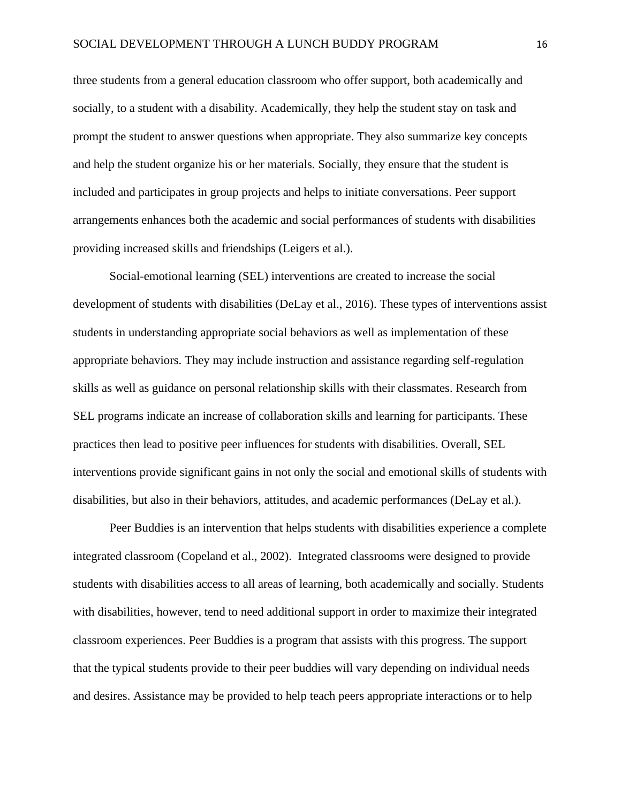three students from a general education classroom who offer support, both academically and socially, to a student with a disability. Academically, they help the student stay on task and prompt the student to answer questions when appropriate. They also summarize key concepts and help the student organize his or her materials. Socially, they ensure that the student is included and participates in group projects and helps to initiate conversations. Peer support arrangements enhances both the academic and social performances of students with disabilities providing increased skills and friendships (Leigers et al.).

Social-emotional learning (SEL) interventions are created to increase the social development of students with disabilities (DeLay et al., 2016). These types of interventions assist students in understanding appropriate social behaviors as well as implementation of these appropriate behaviors. They may include instruction and assistance regarding self-regulation skills as well as guidance on personal relationship skills with their classmates. Research from SEL programs indicate an increase of collaboration skills and learning for participants. These practices then lead to positive peer influences for students with disabilities. Overall, SEL interventions provide significant gains in not only the social and emotional skills of students with disabilities, but also in their behaviors, attitudes, and academic performances (DeLay et al.).

Peer Buddies is an intervention that helps students with disabilities experience a complete integrated classroom (Copeland et al., 2002). Integrated classrooms were designed to provide students with disabilities access to all areas of learning, both academically and socially. Students with disabilities, however, tend to need additional support in order to maximize their integrated classroom experiences. Peer Buddies is a program that assists with this progress. The support that the typical students provide to their peer buddies will vary depending on individual needs and desires. Assistance may be provided to help teach peers appropriate interactions or to help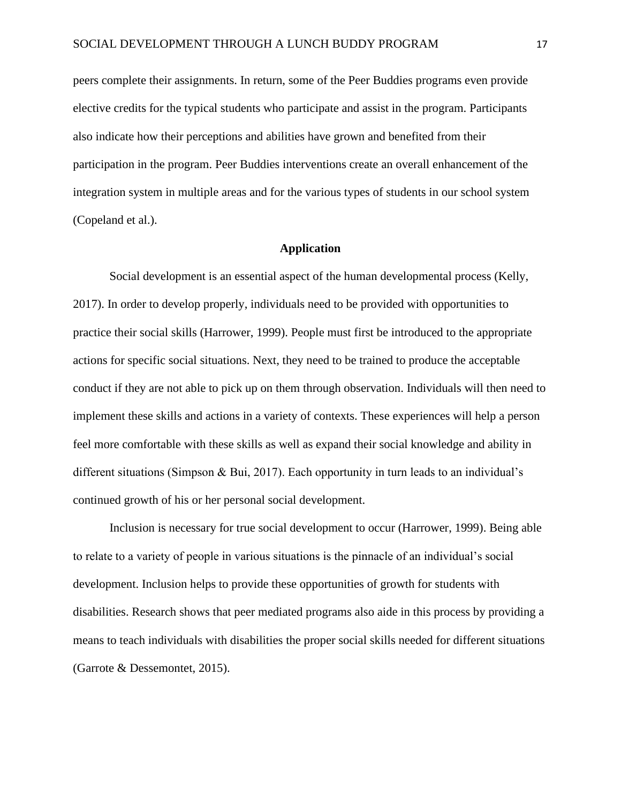peers complete their assignments. In return, some of the Peer Buddies programs even provide elective credits for the typical students who participate and assist in the program. Participants also indicate how their perceptions and abilities have grown and benefited from their participation in the program. Peer Buddies interventions create an overall enhancement of the integration system in multiple areas and for the various types of students in our school system (Copeland et al.).

## **Application**

Social development is an essential aspect of the human developmental process (Kelly, 2017). In order to develop properly, individuals need to be provided with opportunities to practice their social skills (Harrower, 1999). People must first be introduced to the appropriate actions for specific social situations. Next, they need to be trained to produce the acceptable conduct if they are not able to pick up on them through observation. Individuals will then need to implement these skills and actions in a variety of contexts. These experiences will help a person feel more comfortable with these skills as well as expand their social knowledge and ability in different situations (Simpson & Bui, 2017). Each opportunity in turn leads to an individual's continued growth of his or her personal social development.

Inclusion is necessary for true social development to occur (Harrower, 1999). Being able to relate to a variety of people in various situations is the pinnacle of an individual's social development. Inclusion helps to provide these opportunities of growth for students with disabilities. Research shows that peer mediated programs also aide in this process by providing a means to teach individuals with disabilities the proper social skills needed for different situations (Garrote & Dessemontet, 2015).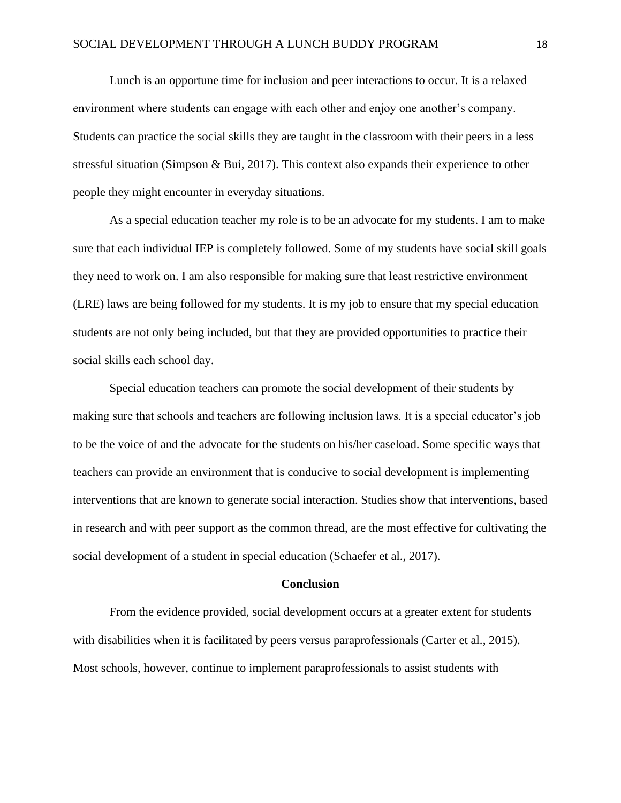Lunch is an opportune time for inclusion and peer interactions to occur. It is a relaxed environment where students can engage with each other and enjoy one another's company. Students can practice the social skills they are taught in the classroom with their peers in a less stressful situation (Simpson & Bui, 2017). This context also expands their experience to other people they might encounter in everyday situations.

As a special education teacher my role is to be an advocate for my students. I am to make sure that each individual IEP is completely followed. Some of my students have social skill goals they need to work on. I am also responsible for making sure that least restrictive environment (LRE) laws are being followed for my students. It is my job to ensure that my special education students are not only being included, but that they are provided opportunities to practice their social skills each school day.

Special education teachers can promote the social development of their students by making sure that schools and teachers are following inclusion laws. It is a special educator's job to be the voice of and the advocate for the students on his/her caseload. Some specific ways that teachers can provide an environment that is conducive to social development is implementing interventions that are known to generate social interaction. Studies show that interventions, based in research and with peer support as the common thread, are the most effective for cultivating the social development of a student in special education (Schaefer et al., 2017).

#### **Conclusion**

From the evidence provided, social development occurs at a greater extent for students with disabilities when it is facilitated by peers versus paraprofessionals (Carter et al., 2015). Most schools, however, continue to implement paraprofessionals to assist students with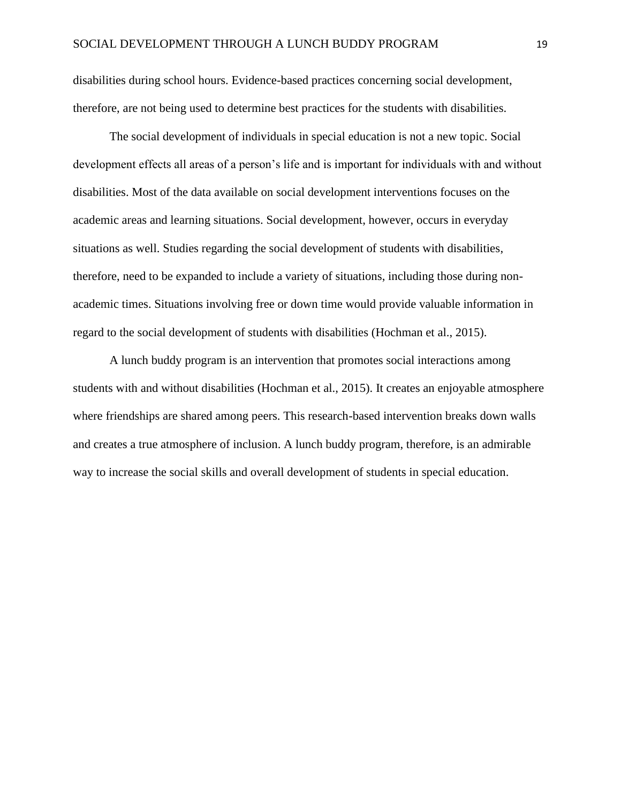disabilities during school hours. Evidence-based practices concerning social development, therefore, are not being used to determine best practices for the students with disabilities.

The social development of individuals in special education is not a new topic. Social development effects all areas of a person's life and is important for individuals with and without disabilities. Most of the data available on social development interventions focuses on the academic areas and learning situations. Social development, however, occurs in everyday situations as well. Studies regarding the social development of students with disabilities, therefore, need to be expanded to include a variety of situations, including those during nonacademic times. Situations involving free or down time would provide valuable information in regard to the social development of students with disabilities (Hochman et al., 2015).

A lunch buddy program is an intervention that promotes social interactions among students with and without disabilities (Hochman et al., 2015). It creates an enjoyable atmosphere where friendships are shared among peers. This research-based intervention breaks down walls and creates a true atmosphere of inclusion. A lunch buddy program, therefore, is an admirable way to increase the social skills and overall development of students in special education.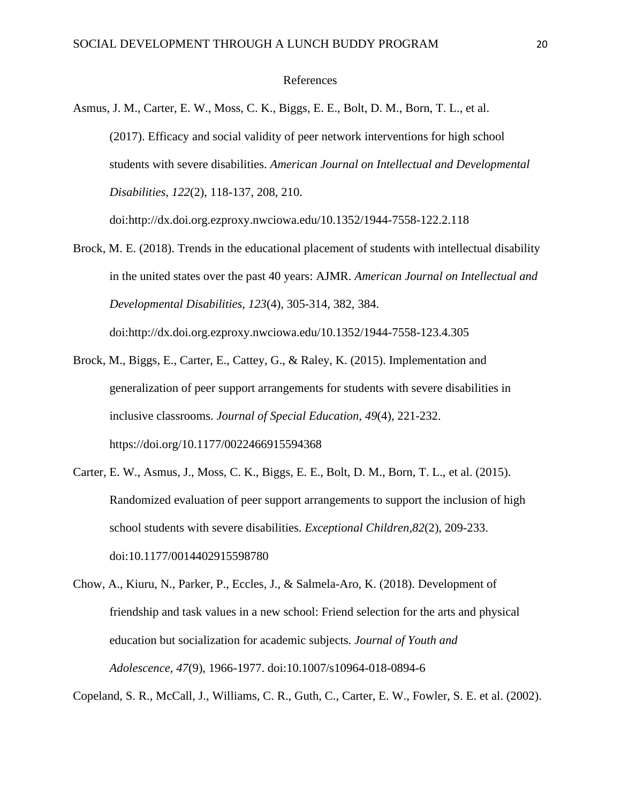#### References

Asmus, J. M., Carter, E. W., Moss, C. K., Biggs, E. E., Bolt, D. M., Born, T. L., et al. (2017). Efficacy and social validity of peer network interventions for high school students with severe disabilities. *American Journal on Intellectual and Developmental Disabilities, 122*(2), 118-137, 208, 210.

doi:http://dx.doi.org.ezproxy.nwciowa.edu/10.1352/1944-7558-122.2.118

- Brock, M. E. (2018). Trends in the educational placement of students with intellectual disability in the united states over the past 40 years: AJMR. *American Journal on Intellectual and Developmental Disabilities, 123*(4), 305-314, 382, 384. doi:http://dx.doi.org.ezproxy.nwciowa.edu/10.1352/1944-7558-123.4.305
- Brock, M., Biggs, E., Carter, E., Cattey, G., & Raley, K. (2015). Implementation and generalization of peer support arrangements for students with severe disabilities in inclusive classrooms. *Journal of Special Education, 49*(4), 221-232. https://doi.org/10.1177/0022466915594368
- Carter, E. W., Asmus, J., Moss, C. K., Biggs, E. E., Bolt, D. M., Born, T. L., et al. (2015). Randomized evaluation of peer support arrangements to support the inclusion of high school students with severe disabilities. *Exceptional Children,82*(2), 209-233. doi:10.1177/0014402915598780
- Chow, A., Kiuru, N., Parker, P., Eccles, J., & Salmela-Aro, K. (2018). Development of friendship and task values in a new school: Friend selection for the arts and physical education but socialization for academic subjects. *Journal of Youth and Adolescence, 47*(9), 1966-1977. doi:10.1007/s10964-018-0894-6

Copeland, S. R., McCall, J., Williams, C. R., Guth, C., Carter, E. W., Fowler, S. E. et al. (2002).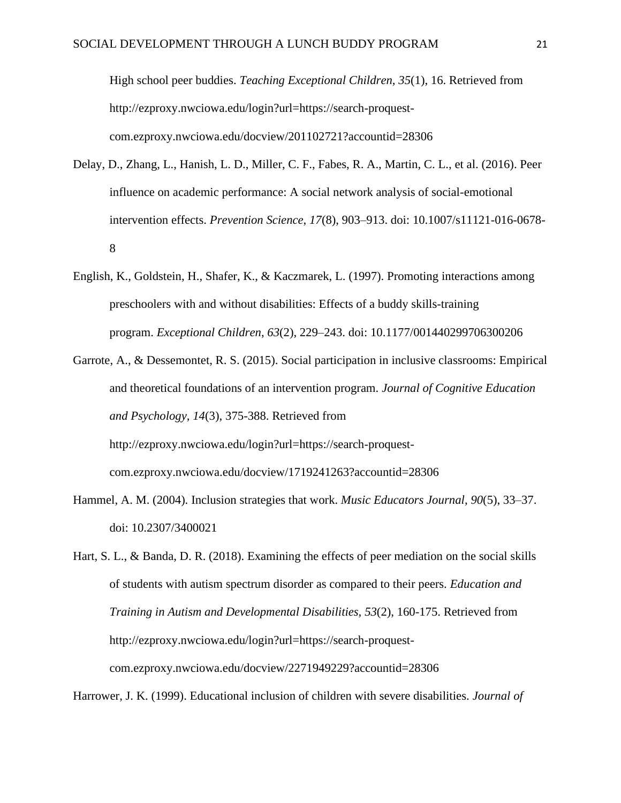High school peer buddies. *Teaching Exceptional Children, 35*(1), 16. Retrieved from http://ezproxy.nwciowa.edu/login?url=https://search-proquestcom.ezproxy.nwciowa.edu/docview/201102721?accountid=28306

- Delay, D., Zhang, L., Hanish, L. D., Miller, C. F., Fabes, R. A., Martin, C. L., et al. (2016). Peer influence on academic performance: A social network analysis of social-emotional intervention effects. *Prevention Science*, *17*(8), 903–913. doi: 10.1007/s11121-016-0678- 8
- English, K., Goldstein, H., Shafer, K., & Kaczmarek, L. (1997). Promoting interactions among preschoolers with and without disabilities: Effects of a buddy skills-training program. *Exceptional Children*, *63*(2), 229–243. doi: 10.1177/001440299706300206
- Garrote, A., & Dessemontet, R. S. (2015). Social participation in inclusive classrooms: Empirical and theoretical foundations of an intervention program. *Journal of Cognitive Education and Psychology, 14*(3), 375-388. Retrieved from http://ezproxy.nwciowa.edu/login?url=https://search-proquestcom.ezproxy.nwciowa.edu/docview/1719241263?accountid=28306
- Hammel, A. M. (2004). Inclusion strategies that work. *Music Educators Journal*, *90*(5), 33–37. doi: 10.2307/3400021
- Hart, S. L., & Banda, D. R. (2018). Examining the effects of peer mediation on the social skills of students with autism spectrum disorder as compared to their peers. *Education and Training in Autism and Developmental Disabilities, 53*(2), 160-175. Retrieved from http://ezproxy.nwciowa.edu/login?url=https://search-proquestcom.ezproxy.nwciowa.edu/docview/2271949229?accountid=28306

Harrower, J. K. (1999). Educational inclusion of children with severe disabilities. *Journal of*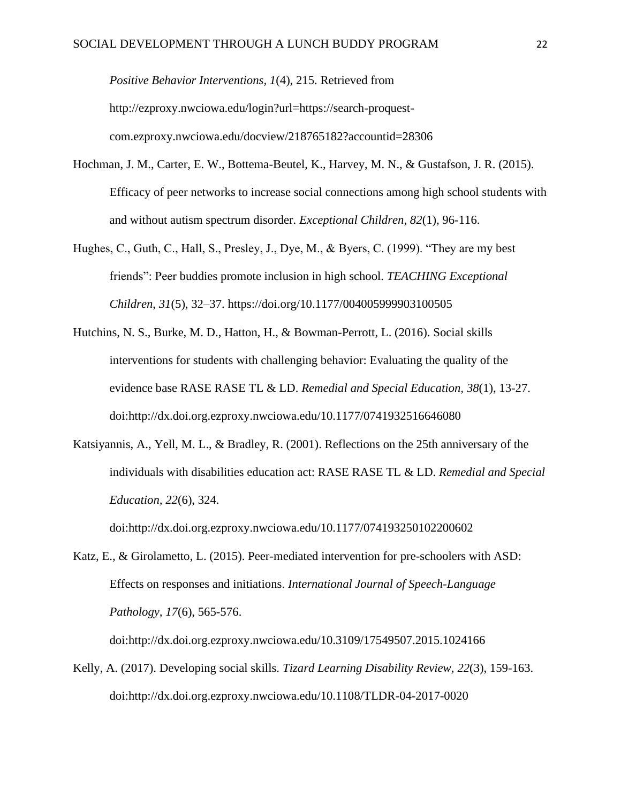*Positive Behavior Interventions, 1*(4), 215. Retrieved from http://ezproxy.nwciowa.edu/login?url=https://search-proquestcom.ezproxy.nwciowa.edu/docview/218765182?accountid=28306

- Hochman, J. M., Carter, E. W., Bottema-Beutel, K., Harvey, M. N., & Gustafson, J. R. (2015). Efficacy of peer networks to increase social connections among high school students with and without autism spectrum disorder. *Exceptional Children, 82*(1), 96-116.
- Hughes, C., Guth, C., Hall, S., Presley, J., Dye, M., & Byers, C. (1999). "They are my best friends": Peer buddies promote inclusion in high school. *TEACHING Exceptional Children*, *31*(5), 32–37. https://doi.org[/10.1177/004005999903100505](https://doi-org.ezproxy.nwciowa.edu/10.1177/004005999903100505)
- Hutchins, N. S., Burke, M. D., Hatton, H., & Bowman-Perrott, L. (2016). Social skills interventions for students with challenging behavior: Evaluating the quality of the evidence base RASE RASE TL & LD. *Remedial and Special Education, 38*(1), 13-27. doi:http://dx.doi.org.ezproxy.nwciowa.edu/10.1177/0741932516646080
- Katsiyannis, A., Yell, M. L., & Bradley, R. (2001). Reflections on the 25th anniversary of the individuals with disabilities education act: RASE RASE TL & LD. *Remedial and Special Education, 22*(6), 324.

doi:http://dx.doi.org.ezproxy.nwciowa.edu/10.1177/074193250102200602

Katz, E., & Girolametto, L. (2015). Peer-mediated intervention for pre-schoolers with ASD: Effects on responses and initiations. *International Journal of Speech-Language Pathology, 17*(6), 565-576.

doi:http://dx.doi.org.ezproxy.nwciowa.edu/10.3109/17549507.2015.1024166

Kelly, A. (2017). Developing social skills. *Tizard Learning Disability Review, 22*(3), 159-163. doi:http://dx.doi.org.ezproxy.nwciowa.edu/10.1108/TLDR-04-2017-0020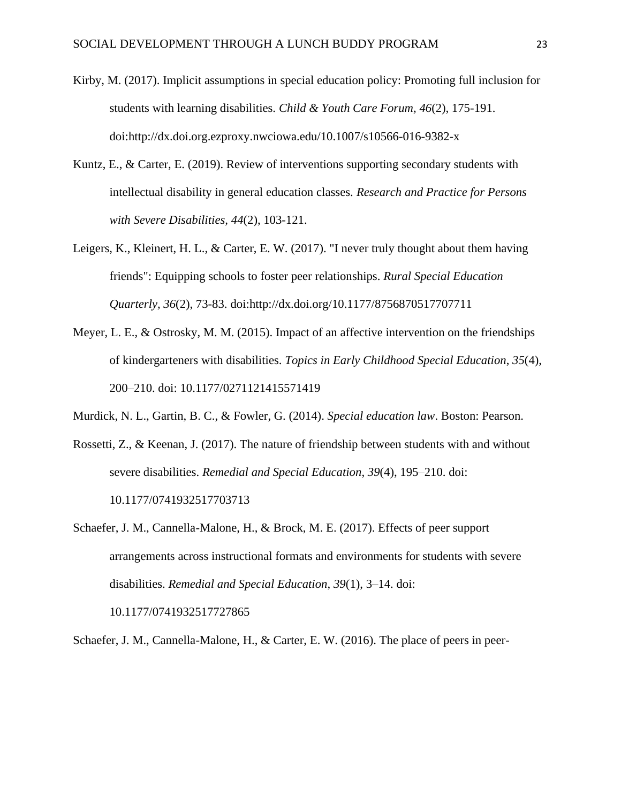- Kirby, M. (2017). Implicit assumptions in special education policy: Promoting full inclusion for students with learning disabilities. *Child & Youth Care Forum, 46*(2), 175-191. doi:http://dx.doi.org.ezproxy.nwciowa.edu/10.1007/s10566-016-9382-x
- Kuntz, E., & Carter, E. (2019). Review of interventions supporting secondary students with intellectual disability in general education classes. *Research and Practice for Persons with Severe Disabilities, 44*(2), 103-121.
- Leigers, K., Kleinert, H. L., & Carter, E. W. (2017). "I never truly thought about them having friends": Equipping schools to foster peer relationships. *Rural Special Education Quarterly, 36*(2), 73-83. doi[:http://dx.doi.org/10.1177/8756870517707711](http://dx.doi.org/10.1177/8756870517707711)
- Meyer, L. E., & Ostrosky, M. M. (2015). Impact of an affective intervention on the friendships of kindergarteners with disabilities. *Topics in Early Childhood Special Education*, *35*(4), 200–210. doi: 10.1177/0271121415571419
- Murdick, N. L., Gartin, B. C., & Fowler, G. (2014). *Special education law*. Boston: Pearson.
- Rossetti, Z., & Keenan, J. (2017). The nature of friendship between students with and without severe disabilities. *Remedial and Special Education*, *39*(4), 195–210. doi: 10.1177/0741932517703713
- Schaefer, J. M., Cannella-Malone, H., & Brock, M. E. (2017). Effects of peer support arrangements across instructional formats and environments for students with severe disabilities. *Remedial and Special Education*, *39*(1), 3–14. doi: 10.1177/0741932517727865

Schaefer, J. M., Cannella-Malone, H., & Carter, E. W. (2016). The place of peers in peer-